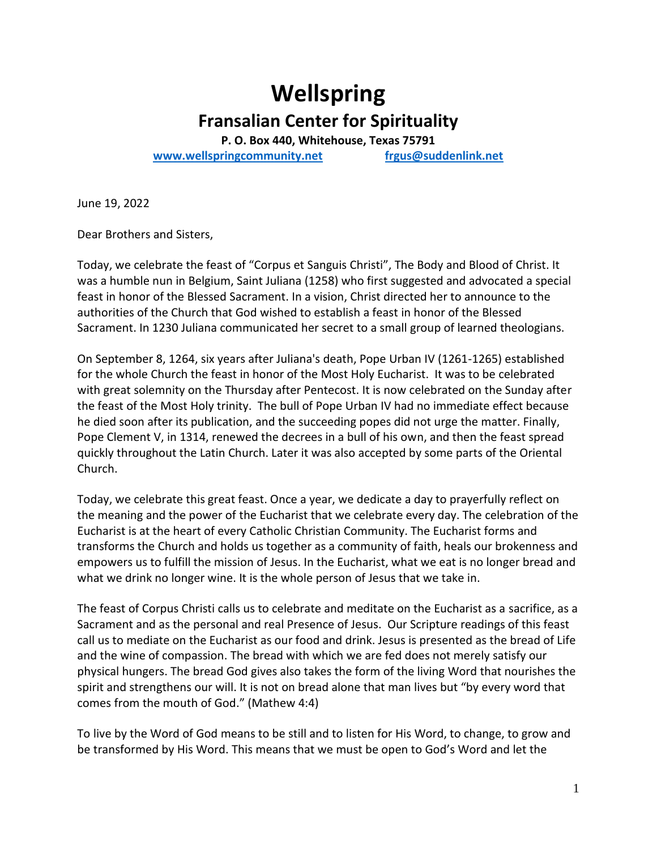# **Wellspring Fransalian Center for Spirituality**

**P. O. Box 440, Whitehouse, Texas 75791 [www.wellspringcommunity.net](http://www.wellspringcommunity.net/) [frgus@suddenlink.net](mailto:frgus@suddenlink.net)**

June 19, 2022

Dear Brothers and Sisters,

Today, we celebrate the feast of "Corpus et Sanguis Christi", The Body and Blood of Christ. It was a humble nun in Belgium, Saint Juliana (1258) who first suggested and advocated a special feast in honor of the Blessed Sacrament. In a vision, Christ directed her to announce to the authorities of the Church that God wished to establish a feast in honor of the Blessed Sacrament. In 1230 Juliana communicated her secret to a small group of learned theologians.

On September 8, 1264, six years after Juliana's death, Pope Urban IV (1261-1265) established for the whole Church the feast in honor of the Most Holy Eucharist. It was to be celebrated with great solemnity on the Thursday after Pentecost. It is now celebrated on the Sunday after the feast of the Most Holy trinity. The bull of Pope Urban IV had no immediate effect because he died soon after its publication, and the succeeding popes did not urge the matter. Finally, Pope Clement V, in 1314, renewed the decrees in a bull of his own, and then the feast spread quickly throughout the Latin Church. Later it was also accepted by some parts of the Oriental Church.

Today, we celebrate this great feast. Once a year, we dedicate a day to prayerfully reflect on the meaning and the power of the Eucharist that we celebrate every day. The celebration of the Eucharist is at the heart of every Catholic Christian Community. The Eucharist forms and transforms the Church and holds us together as a community of faith, heals our brokenness and empowers us to fulfill the mission of Jesus. In the Eucharist, what we eat is no longer bread and what we drink no longer wine. It is the whole person of Jesus that we take in.

The feast of Corpus Christi calls us to celebrate and meditate on the Eucharist as a sacrifice, as a Sacrament and as the personal and real Presence of Jesus. Our Scripture readings of this feast call us to mediate on the Eucharist as our food and drink. Jesus is presented as the bread of Life and the wine of compassion. The bread with which we are fed does not merely satisfy our physical hungers. The bread God gives also takes the form of the living Word that nourishes the spirit and strengthens our will. It is not on bread alone that man lives but "by every word that comes from the mouth of God." (Mathew 4:4)

To live by the Word of God means to be still and to listen for His Word, to change, to grow and be transformed by His Word. This means that we must be open to God's Word and let the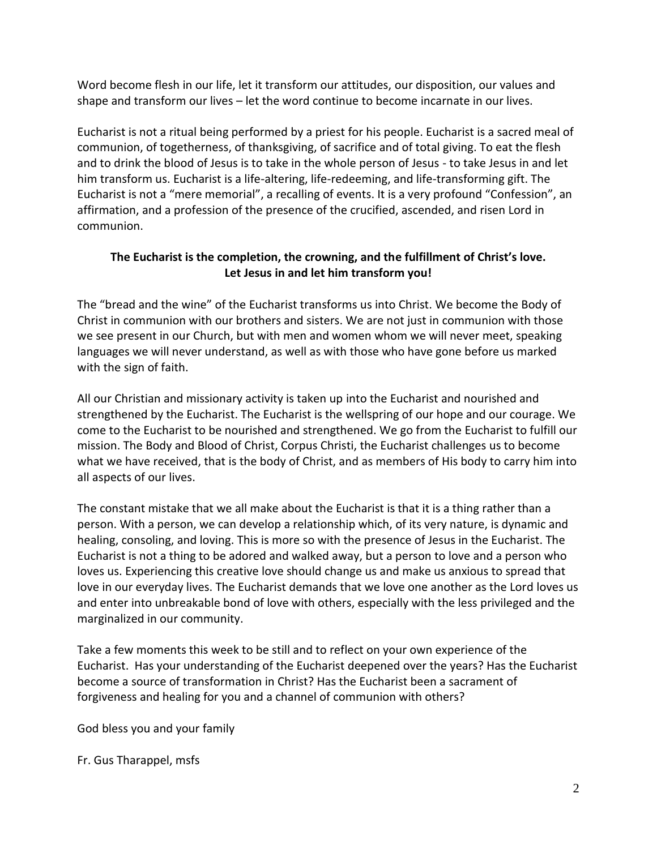Word become flesh in our life, let it transform our attitudes, our disposition, our values and shape and transform our lives – let the word continue to become incarnate in our lives.

Eucharist is not a ritual being performed by a priest for his people. Eucharist is a sacred meal of communion, of togetherness, of thanksgiving, of sacrifice and of total giving. To eat the flesh and to drink the blood of Jesus is to take in the whole person of Jesus - to take Jesus in and let him transform us. Eucharist is a life-altering, life-redeeming, and life-transforming gift. The Eucharist is not a "mere memorial", a recalling of events. It is a very profound "Confession", an affirmation, and a profession of the presence of the crucified, ascended, and risen Lord in communion.

### **The Eucharist is the completion, the crowning, and the fulfillment of Christ's love. Let Jesus in and let him transform you!**

The "bread and the wine" of the Eucharist transforms us into Christ. We become the Body of Christ in communion with our brothers and sisters. We are not just in communion with those we see present in our Church, but with men and women whom we will never meet, speaking languages we will never understand, as well as with those who have gone before us marked with the sign of faith.

All our Christian and missionary activity is taken up into the Eucharist and nourished and strengthened by the Eucharist. The Eucharist is the wellspring of our hope and our courage. We come to the Eucharist to be nourished and strengthened. We go from the Eucharist to fulfill our mission. The Body and Blood of Christ, Corpus Christi, the Eucharist challenges us to become what we have received, that is the body of Christ, and as members of His body to carry him into all aspects of our lives.

The constant mistake that we all make about the Eucharist is that it is a thing rather than a person. With a person, we can develop a relationship which, of its very nature, is dynamic and healing, consoling, and loving. This is more so with the presence of Jesus in the Eucharist. The Eucharist is not a thing to be adored and walked away, but a person to love and a person who loves us. Experiencing this creative love should change us and make us anxious to spread that love in our everyday lives. The Eucharist demands that we love one another as the Lord loves us and enter into unbreakable bond of love with others, especially with the less privileged and the marginalized in our community.

Take a few moments this week to be still and to reflect on your own experience of the Eucharist. Has your understanding of the Eucharist deepened over the years? Has the Eucharist become a source of transformation in Christ? Has the Eucharist been a sacrament of forgiveness and healing for you and a channel of communion with others?

God bless you and your family

Fr. Gus Tharappel, msfs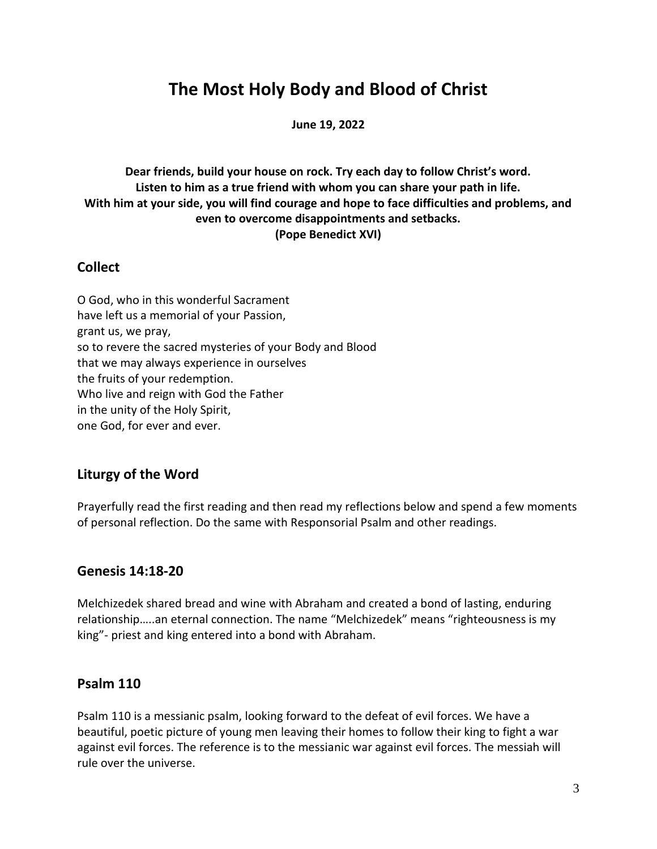# **The Most Holy Body and Blood of Christ**

**June 19, 2022**

**Dear friends, build your house on rock. Try each day to follow Christ's word. Listen to him as a true friend with whom you can share your path in life. With him at your side, you will find courage and hope to face difficulties and problems, and even to overcome disappointments and setbacks. (Pope Benedict XVI)**

### **Collect**

O God, who in this wonderful Sacrament have left us a memorial of your Passion, grant us, we pray, so to revere the sacred mysteries of your Body and Blood that we may always experience in ourselves the fruits of your redemption. Who live and reign with God the Father in the unity of the Holy Spirit, one God, for ever and ever.

# **Liturgy of the Word**

Prayerfully read the first reading and then read my reflections below and spend a few moments of personal reflection. Do the same with Responsorial Psalm and other readings.

### **Genesis 14:18-20**

Melchizedek shared bread and wine with Abraham and created a bond of lasting, enduring relationship…..an eternal connection. The name "Melchizedek" means "righteousness is my king"- priest and king entered into a bond with Abraham.

# **Psalm 110**

Psalm 110 is a messianic psalm, looking forward to the defeat of evil forces. We have a beautiful, poetic picture of young men leaving their homes to follow their king to fight a war against evil forces. The reference is to the messianic war against evil forces. The messiah will rule over the universe.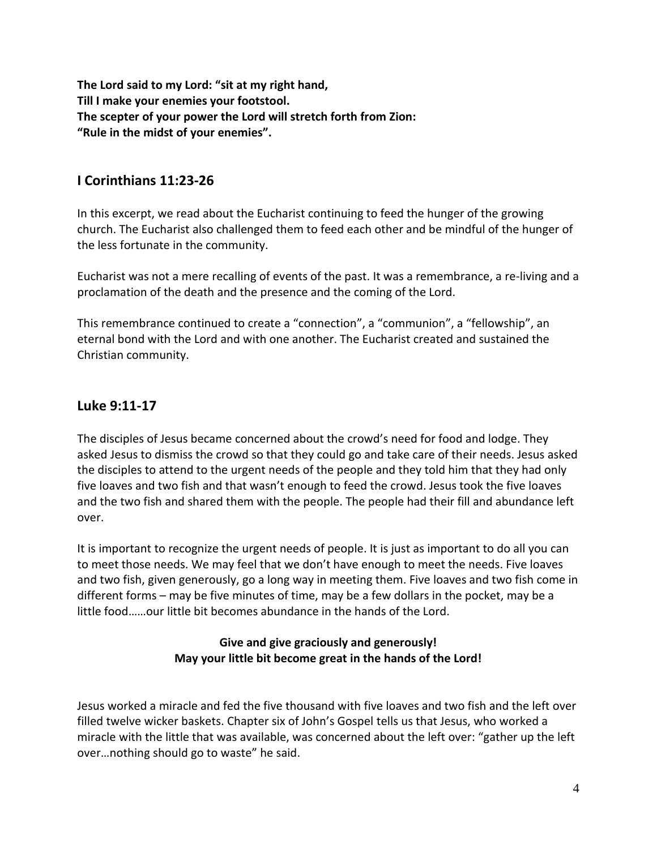**The Lord said to my Lord: "sit at my right hand, Till I make your enemies your footstool. The scepter of your power the Lord will stretch forth from Zion: "Rule in the midst of your enemies".**

# **I Corinthians 11:23-26**

In this excerpt, we read about the Eucharist continuing to feed the hunger of the growing church. The Eucharist also challenged them to feed each other and be mindful of the hunger of the less fortunate in the community.

Eucharist was not a mere recalling of events of the past. It was a remembrance, a re-living and a proclamation of the death and the presence and the coming of the Lord.

This remembrance continued to create a "connection", a "communion", a "fellowship", an eternal bond with the Lord and with one another. The Eucharist created and sustained the Christian community.

# **Luke 9:11-17**

The disciples of Jesus became concerned about the crowd's need for food and lodge. They asked Jesus to dismiss the crowd so that they could go and take care of their needs. Jesus asked the disciples to attend to the urgent needs of the people and they told him that they had only five loaves and two fish and that wasn't enough to feed the crowd. Jesus took the five loaves and the two fish and shared them with the people. The people had their fill and abundance left over.

It is important to recognize the urgent needs of people. It is just as important to do all you can to meet those needs. We may feel that we don't have enough to meet the needs. Five loaves and two fish, given generously, go a long way in meeting them. Five loaves and two fish come in different forms – may be five minutes of time, may be a few dollars in the pocket, may be a little food……our little bit becomes abundance in the hands of the Lord.

### **Give and give graciously and generously! May your little bit become great in the hands of the Lord!**

Jesus worked a miracle and fed the five thousand with five loaves and two fish and the left over filled twelve wicker baskets. Chapter six of John's Gospel tells us that Jesus, who worked a miracle with the little that was available, was concerned about the left over: "gather up the left over…nothing should go to waste" he said.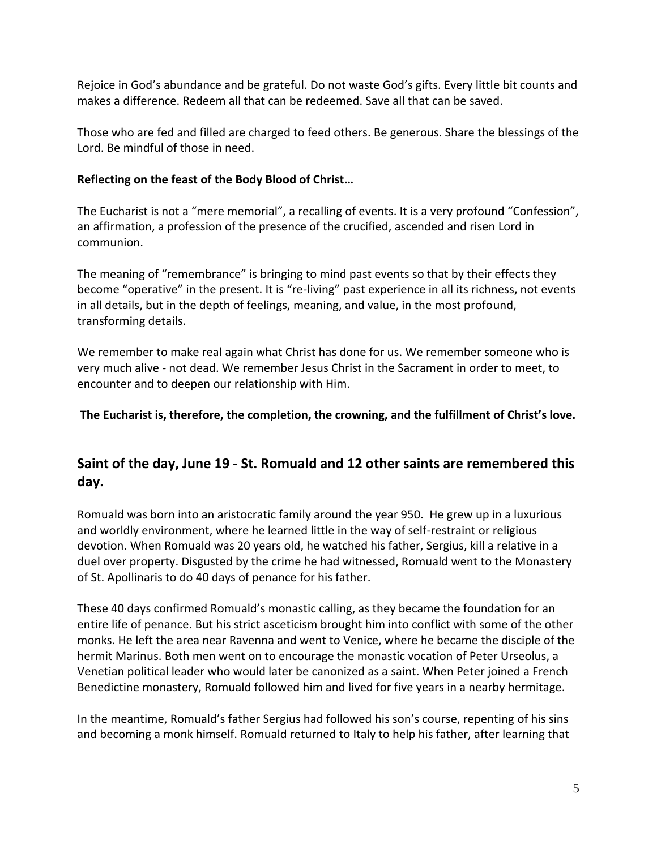Rejoice in God's abundance and be grateful. Do not waste God's gifts. Every little bit counts and makes a difference. Redeem all that can be redeemed. Save all that can be saved.

Those who are fed and filled are charged to feed others. Be generous. Share the blessings of the Lord. Be mindful of those in need.

#### **Reflecting on the feast of the Body Blood of Christ…**

The Eucharist is not a "mere memorial", a recalling of events. It is a very profound "Confession", an affirmation, a profession of the presence of the crucified, ascended and risen Lord in communion.

The meaning of "remembrance" is bringing to mind past events so that by their effects they become "operative" in the present. It is "re-living" past experience in all its richness, not events in all details, but in the depth of feelings, meaning, and value, in the most profound, transforming details.

We remember to make real again what Christ has done for us. We remember someone who is very much alive - not dead. We remember Jesus Christ in the Sacrament in order to meet, to encounter and to deepen our relationship with Him.

### **The Eucharist is, therefore, the completion, the crowning, and the fulfillment of Christ's love.**

# **Saint of the day, June 19 - St. Romuald and 12 other saints are remembered this day.**

Romuald was born into an aristocratic family around the year 950. He grew up in a luxurious and worldly environment, where he learned little in the way of self-restraint or religious devotion. When Romuald was 20 years old, he watched his father, Sergius, kill a relative in a duel over property. Disgusted by the crime he had witnessed, Romuald went to the Monastery of St. Apollinaris to do 40 days of penance for his father.

These 40 days confirmed Romuald's monastic calling, as they became the foundation for an entire life of penance. But his strict asceticism brought him into conflict with some of the other monks. He left the area near Ravenna and went to Venice, where he became the disciple of the hermit Marinus. Both men went on to encourage the monastic vocation of Peter Urseolus, a Venetian political leader who would later be canonized as a saint. When Peter joined a French Benedictine monastery, Romuald followed him and lived for five years in a nearby hermitage.

In the meantime, Romuald's father Sergius had followed his son's course, repenting of his sins and becoming a monk himself. Romuald returned to Italy to help his father, after learning that